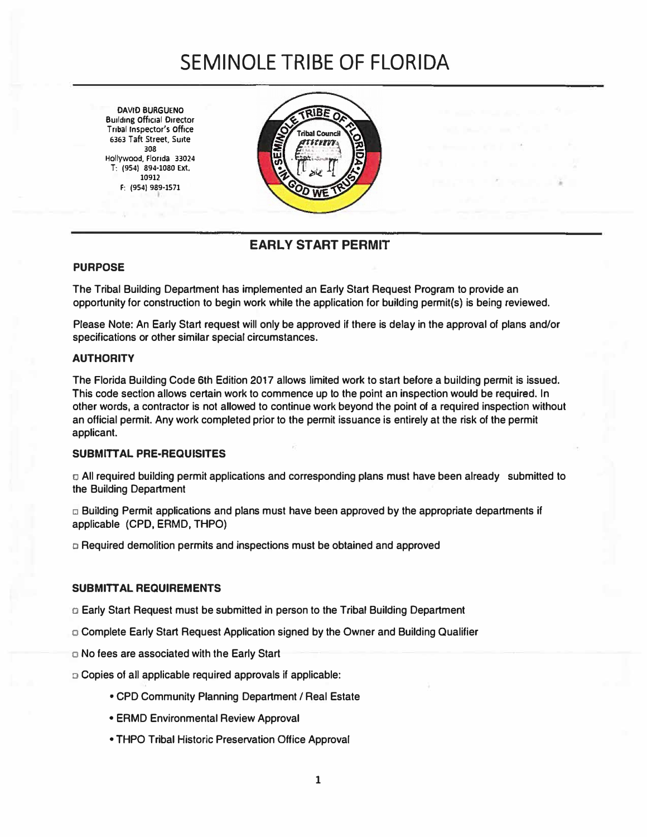# **SEMINOLE TRIBE OF FLORIDA**

**DAVID BURGUENO Building Official Director Tribal Inspector's Office 6363 Taft Street, Suite 308 Hollywood, Florida 33024 T: (954) 894-1080 Ext. 10912 F: (954) 989-1571**



### **EARLY START PERMIT**

#### **PURPOSE**

The Tribal Building Department has implemented an Early Start Request Program to provide an opportunity for construction to begin work while the application for building permit(s) is being reviewed.

Please Note: An Early Start request will only be approved if there is delay in the approval of plans and/or specifications or other similar special circumstances.

#### **AUTHORITY**

The Florida Building Code 6th Edition 2017 allows limited work to start before a building permit is issued. This code section allows certain work to commence up to the point an inspection would be required. In other words, a contractor is not allowed to continue work beyond the point of a required inspection without an official permit. Any work completed prior to the permit issuance is entirely at the risk of the permit applicant.

#### **SUBMITTAL PRE-REQUISITES**

CJ All required building permit applications and corresponding plans must have been already submitted to the Building Department

 $\Box$  Building Permit applications and plans must have been approved by the appropriate departments if applicable (CPD, EAMD, THPO)

o Required demolition permits and inspections must be obtained and approved

#### **SUB MITT AL REQUIREMENTS**

- o Early Start Request must be submitted in person to the Tribal Building Department
- o Complete Early Start Request Application signed by the Owner and Building Qualifier
- o No fees are associated with the Early Start
- o Copies of all applicable required approvals if applicable:
	- CPD Community Planning Department *I* Real Estate
	- ERMD Environmental Review Approval
	- THPO Tribal Historic Preservation Office Approval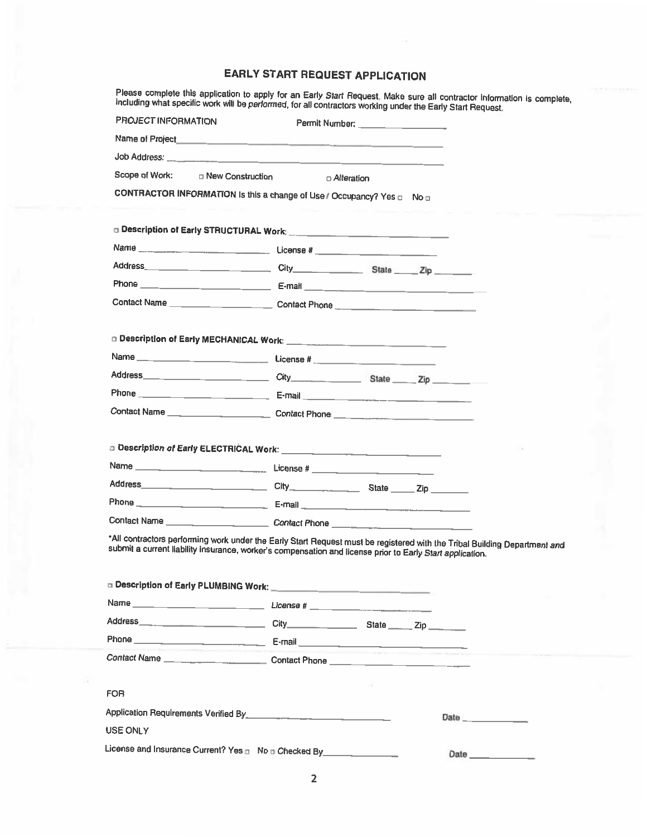## **EARLY START REQUEST APPLICATION**

Please complete this application to apply for an Early Start Request. Make sure all contractor information is complete,<br>including what specific work will be performed, for all contractors working under the Early Start Requ

| PROJECT INFORMATION                                                                                                       |  | Permit Number: _________________ |  |      |      |  |
|---------------------------------------------------------------------------------------------------------------------------|--|----------------------------------|--|------|------|--|
|                                                                                                                           |  |                                  |  |      |      |  |
|                                                                                                                           |  |                                  |  |      |      |  |
| Scope of Work: Dew Construction                                                                                           |  | □ Alteration                     |  |      |      |  |
| CONTRACTOR INFORMATION Is this a change of Use / Occupancy? Yes non                                                       |  |                                  |  |      |      |  |
|                                                                                                                           |  |                                  |  |      |      |  |
|                                                                                                                           |  |                                  |  |      |      |  |
|                                                                                                                           |  |                                  |  |      |      |  |
|                                                                                                                           |  |                                  |  |      |      |  |
|                                                                                                                           |  |                                  |  |      |      |  |
|                                                                                                                           |  |                                  |  |      |      |  |
|                                                                                                                           |  |                                  |  |      |      |  |
|                                                                                                                           |  |                                  |  |      |      |  |
|                                                                                                                           |  |                                  |  |      |      |  |
|                                                                                                                           |  |                                  |  |      |      |  |
|                                                                                                                           |  |                                  |  |      |      |  |
| Contact Name _________________________________Contact Phone _____________________                                         |  |                                  |  |      |      |  |
|                                                                                                                           |  |                                  |  |      |      |  |
|                                                                                                                           |  |                                  |  |      |      |  |
|                                                                                                                           |  |                                  |  |      |      |  |
|                                                                                                                           |  |                                  |  |      |      |  |
|                                                                                                                           |  |                                  |  |      |      |  |
|                                                                                                                           |  |                                  |  |      |      |  |
| *All contractors performing work under the Early Start Request must be registered with the Tribal Building Department and |  |                                  |  |      |      |  |
| submit a current liability insurance, worker's compensation and license prior to Early Start application.                 |  |                                  |  |      |      |  |
|                                                                                                                           |  |                                  |  |      |      |  |
| Description of Early PLUMBING Work: Campbell Control Control Control Control Control Control Control Control Co           |  |                                  |  |      |      |  |
|                                                                                                                           |  |                                  |  |      |      |  |
|                                                                                                                           |  |                                  |  |      |      |  |
|                                                                                                                           |  |                                  |  |      |      |  |
|                                                                                                                           |  |                                  |  |      |      |  |
|                                                                                                                           |  |                                  |  |      |      |  |
| FOR                                                                                                                       |  |                                  |  |      |      |  |
|                                                                                                                           |  |                                  |  | Date |      |  |
| USE ONLY                                                                                                                  |  |                                  |  |      |      |  |
| License and Insurance Current? Yes n No nChecked By                                                                       |  |                                  |  |      | Date |  |
|                                                                                                                           |  |                                  |  |      |      |  |